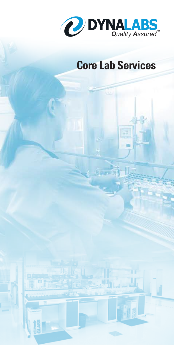

## **Core Lab Services**

h.u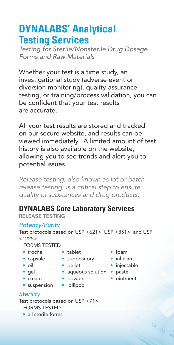### **DYNALABS' Analytical Testing Services**

*Testing for Sterile/Nonsterile Drug Dosage Forms and Raw Materials* 

Whether your test is a time study, an investigational study (adverse event or diversion monitoring), quality-assurance testing, or training/process validation, you can be confident that your test results are accurate.

All your test results are stored and tracked on our secure website, and results can be viewed immediately. A limited amount of test history is also available on the website, allowing you to see trends and alert you to potential issues.

*Release testing, also known as lot or batch release testing, is a critical step to ensure quality of substances and drug products.* 

### **DYNALABS Core Laboratory Services**

**RELEASE TESTING**

#### *Potency/Purity*

Test protocols based on USP <621>, USP <851>, and USP  $<1225>$ 

FORMS TESTED

- troche tablet foam
- 
- 
- 
- capsule suppository inhalant
	-
- gel aqueous solution paste
- 
- -
- 
- 
- oil pellet injectable
	-
- cream powder ointment

 $\frac{a_0}{a_0}$ 

- suspension lollipop
- 
- *Sterility*

Test protocols based on USP <71> FORMS TESTED

- 
- all sterile forms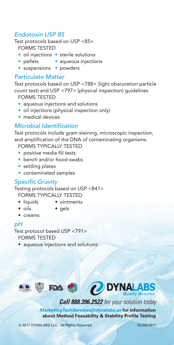#### *Endotoxin USP 85*

Test protocols based on USP <85> FORMS TESTED

- oil injections sterile solutions
- pellets aqueous injections
- suspensions powders

#### *Particulate Matter*

Test protocols based on USP <788> (light obscuration particle count test) and USP <797> (physical inspection) guidelines

FORMS TESTED

- aqueous injections and solutions
- oil injections (physical inspection only)
- medical devices

#### *Microbial Identification*

Test protocols include gram staining, microscopic inspection, and amplification of the DNA of contaminating organisms.

FORMS TYPICALLY TESTED

- positive media fill tests
- bench and/or hood swabs
- settling plates
- contaminated samples

#### *Specific Gravity*

Testing protocols based on USP <841> FORMS TYPICALLY TESTED

- 
- liquids ointments
- 
- oils gels
- creams

#### *pH*

Test protocol based USP <791> FORMS TESTED

• aqueous injections and solutions



*Call 888.396.2522 for your solution today*

*MarketingTechServices@dynalabs.us* **for information about Method Feasability & Stability Profile Testing**

© 2017 DYNALABS LLC. All Rights Reserved DL026-0917